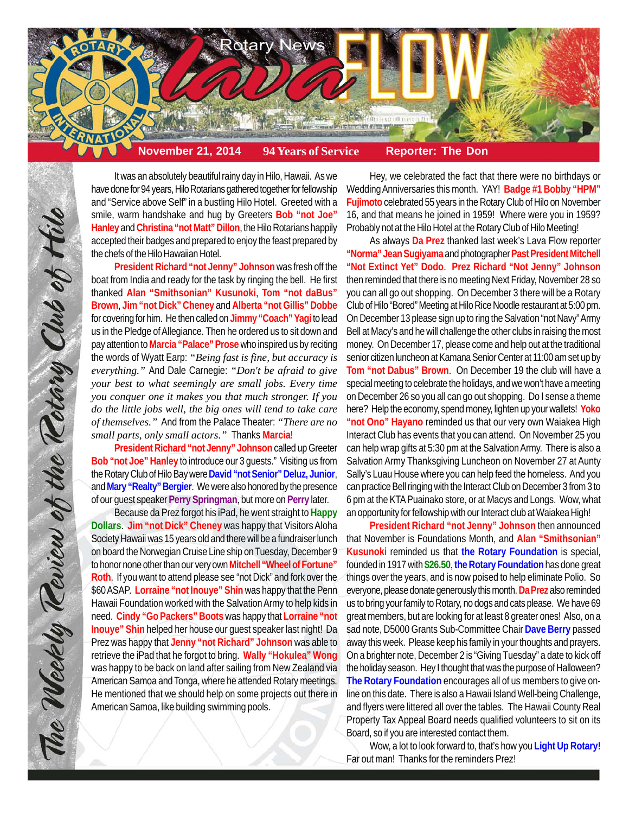

It was an absolutely beautiful rainy day in Hilo, Hawaii. As we have done for 94 years, Hilo Rotarians gathered together for fellowship and "Service above Self" in a bustling Hilo Hotel. Greeted with a smile, warm handshake and hug by Greeters **Bob "not Joe" Hanley** and **Christina "not Matt" Dillon**, the Hilo Rotarians happily accepted their badges and prepared to enjoy the feast prepared by the chefs of the Hilo Hawaiian Hotel.

**President Richard "not Jenny" Johnson** was fresh off the boat from India and ready for the task by ringing the bell. He first thanked **Alan "Smithsonian" Kusunoki**, **Tom "not daBus" Brown**, **Jim "not Dick" Cheney** and **Alberta "not Gillis" Dobbe** for covering for him. He then called on **Jimmy "Coach" Yagi** to lead us in the Pledge of Allegiance. Then he ordered us to sit down and pay attention to **Marcia "Palace" Prose** who inspired us by reciting the words of Wyatt Earp: *"Being fast is fine, but accuracy is everything."* And Dale Carnegie: *"Don't be afraid to give your best to what seemingly are small jobs. Every time you conquer one it makes you that much stronger. If you do the little jobs well, the big ones will tend to take care of themselves."* And from the Palace Theater: *"There are no small parts, only small actors."* Thanks **Marcia**!

**President Richard "not Jenny" Johnson** called up Greeter **Bob "not Joe" Hanley** to introduce our 3 guests." Visiting us from the Rotary Club of Hilo Bay were **David "not Senior" Deluz, Junior**, and **Mary "Realty" Bergier**. We were also honored by the presence of our guest speaker **Perry Springman**, but more on **Perry** later.

Because da Prez forgot his iPad, he went straight to **Happy Dollars**. **Jim "not Dick" Cheney** was happy that Visitors Aloha Society Hawaii was 15 years old and there will be a fundraiser lunch on board the Norwegian Cruise Line ship on Tuesday, December 9 to honor none other than our very own **Mitchell "Wheel of Fortune" Roth**. If you want to attend please see "not Dick" and fork over the \$60 ASAP. **Lorraine "not Inouye" Shin** was happy that the Penn Hawaii Foundation worked with the Salvation Army to help kids in need. **Cindy "Go Packers" Boots** was happy that **Lorraine "not Inouye" Shin** helped her house our guest speaker last night! Da Prez was happy that **Jenny "not Richard" Johnson** was able to retrieve the iPad that he forgot to bring. **Wally "Hokulea" Wong** was happy to be back on land after sailing from New Zealand via American Samoa and Tonga, where he attended Rotary meetings. He mentioned that we should help on some projects out there in American Samoa, like building swimming pools.

Hey, we celebrated the fact that there were no birthdays or Wedding Anniversaries this month. YAY! **Badge #1 Bobby "HPM" Fujimoto** celebrated 55 years in the Rotary Club of Hilo on November 16, and that means he joined in 1959! Where were you in 1959? Probably not at the Hilo Hotel at the Rotary Club of Hilo Meeting!

As always **Da Prez** thanked last week's Lava Flow reporter **"Norma" Jean Sugiyama** and photographer **Past President Mitchell "Not Extinct Yet" Dodo**. **Prez Richard "Not Jenny" Johnson** then reminded that there is no meeting Next Friday, November 28 so you can all go out shopping. On December 3 there will be a Rotary Club of Hilo "Bored" Meeting at Hilo Rice Noodle restaurant at 5:00 pm. On December 13 please sign up to ring the Salvation "not Navy" Army Bell at Macy's and he will challenge the other clubs in raising the most money. On December 17, please come and help out at the traditional senior citizen luncheon at Kamana Senior Center at 11:00 am set up by **Tom "not Dabus" Brown**. On December 19 the club will have a special meeting to celebrate the holidays, and we won't have a meeting on December 26 so you all can go out shopping. Do I sense a theme here? Help the economy, spend money, lighten up your wallets! **Yoko "not Ono" Hayano** reminded us that our very own Waiakea High Interact Club has events that you can attend. On November 25 you can help wrap gifts at 5:30 pm at the Salvation Army. There is also a Salvation Army Thanksgiving Luncheon on November 27 at Aunty Sally's Luau House where you can help feed the homeless. And you can practice Bell ringing with the Interact Club on December 3 from 3 to 6 pm at the KTA Puainako store, or at Macys and Longs. Wow, what an opportunity for fellowship with our Interact club at Waiakea High!

**President Richard "not Jenny" Johnson** then announced that November is Foundations Month, and **Alan "Smithsonian" Kusunoki** reminded us that **the Rotary Foundation** is special, founded in 1917 with **\$26.50**, **the Rotary Foundation** has done great things over the years, and is now poised to help eliminate Polio. So everyone, please donate generously this month. **Da Prez** also reminded us to bring your family to Rotary, no dogs and cats please. We have 69 great members, but are looking for at least 8 greater ones! Also, on a sad note, D5000 Grants Sub-Committee Chair **Dave Berry** passed away this week. Please keep his family in your thoughts and prayers. On a brighter note, December 2 is "Giving Tuesday" a date to kick off the holiday season. Hey I thought that was the purpose of Halloween? **The Rotary Foundation** encourages all of us members to give online on this date. There is also a Hawaii Island Well-being Challenge, and flyers were littered all over the tables. The Hawaii County Real Property Tax Appeal Board needs qualified volunteers to sit on its Board, so if you are interested contact them.

Wow, a lot to look forward to, that's how you **Light Up Rotary!** Far out man! Thanks for the reminders Prez!